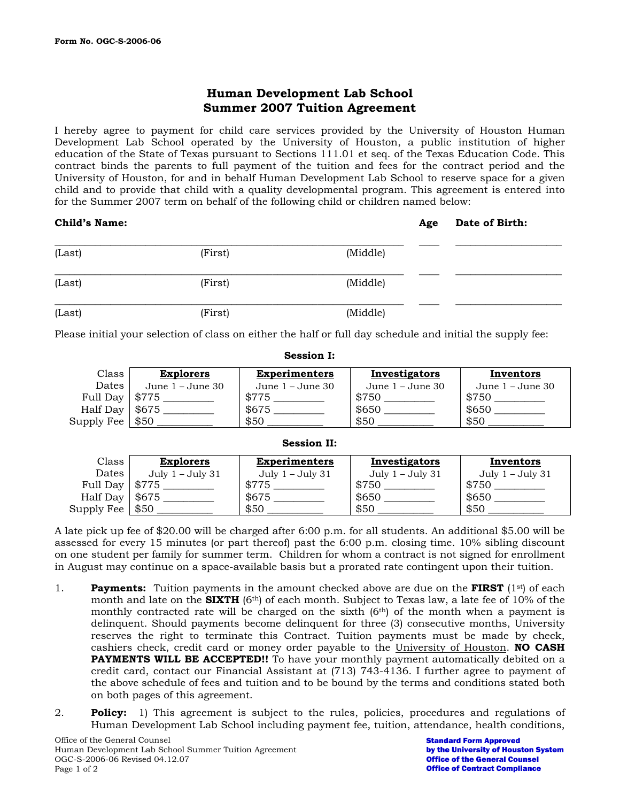# **Human Development Lab School Summer 2007 Tuition Agreement**

I hereby agree to payment for child care services provided by the University of Houston Human Development Lab School operated by the University of Houston, a public institution of higher education of the State of Texas pursuant to Sections 111.01 et seq. of the Texas Education Code. This contract binds the parents to full payment of the tuition and fees for the contract period and the University of Houston, for and in behalf Human Development Lab School to reserve space for a given child and to provide that child with a quality developmental program. This agreement is entered into for the Summer 2007 term on behalf of the following child or children named below:

# **Child's Name:**  $\qquad \qquad$  **Age Date of Birth:**  $\qquad \qquad$  **Age Date of Birth:**

| (Last) | (First) | (Middle) |  |
|--------|---------|----------|--|
| (Last) | (First) | (Middle) |  |
| (Last) | (First) | (Middle) |  |

Please initial your selection of class on either the half or full day schedule and initial the supply fee:

**Session I:** 

|                        |                    | <u>www.vii i.</u>    |                    |                    |
|------------------------|--------------------|----------------------|--------------------|--------------------|
| Class                  | <b>Explorers</b>   | <b>Experimenters</b> | Investigators      | Inventors          |
| Dates                  | June $1 -$ June 30 | June $1 -$ June 30   | June $1 -$ June 30 | June $1 -$ June 30 |
| Full Day   \$775       |                    | \$775                | \$750              | \$750              |
| Half Day   $$675$      |                    | \$675                | \$650              | \$650              |
| Supply Fee $\mid$ \$50 |                    | \$50                 | \$50               | \$50               |

## **Session II:**

| Class             | <b>Explorers</b>   | <b>Experimenters</b> | Investigators    | Inventors        |
|-------------------|--------------------|----------------------|------------------|------------------|
| Dates             | July $1 -$ July 31 | July 1 – July 31     | July 1 – July 31 | July 1 – July 31 |
| Full Day   \$775  |                    | \$775                | \$750            | \$750            |
| Half Day   $$675$ |                    | \$675                | \$650            | \$650            |
| Supply Fee   \$50 |                    | \$50                 | \$50             | \$50             |

A late pick up fee of \$20.00 will be charged after 6:00 p.m. for all students. An additional \$5.00 will be assessed for every 15 minutes (or part thereof) past the 6:00 p.m. closing time. 10% sibling discount on one student per family for summer term. Children for whom a contract is not signed for enrollment in August may continue on a space-available basis but a prorated rate contingent upon their tuition.

- 1. **Payments:** Tuition payments in the amount checked above are due on the **FIRST** (1st) of each month and late on the **SIXTH** (6th) of each month. Subject to Texas law, a late fee of 10% of the monthly contracted rate will be charged on the sixth  $(6<sup>th</sup>)$  of the month when a payment is delinquent. Should payments become delinquent for three (3) consecutive months, University reserves the right to terminate this Contract. Tuition payments must be made by check, cashiers check, credit card or money order payable to the University of Houston. **NO CASH PAYMENTS WILL BE ACCEPTED!!** To have your monthly payment automatically debited on a credit card, contact our Financial Assistant at (713) 743-4136. I further agree to payment of the above schedule of fees and tuition and to be bound by the terms and conditions stated both on both pages of this agreement.
- 2. **Policy:** 1) This agreement is subject to the rules, policies, procedures and regulations of Human Development Lab School including payment fee, tuition, attendance, health conditions,

Standard Form Approved by the University of Houston System Office of the General Counsel Office of Contract Compliance